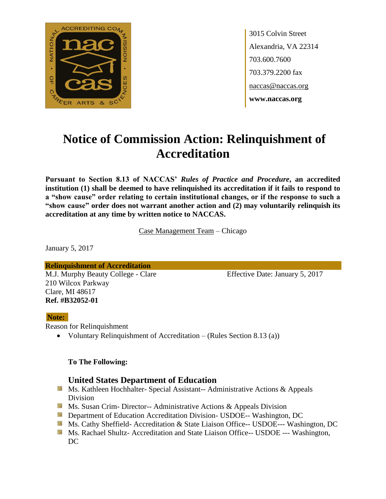

3015 Colvin Street Alexandria, VA 22314 703.600.7600 703.379.2200 fax naccas@naccas.org **www.naccas.org**

# **Notice of Commission Action: Relinquishment of Accreditation**

**Pursuant to Section 8.13 of NACCAS'** *Rules of Practice and Procedure***, an accredited institution (1) shall be deemed to have relinquished its accreditation if it fails to respond to a "show cause" order relating to certain institutional changes, or if the response to such a "show cause" order does not warrant another action and (2) may voluntarily relinquish its accreditation at any time by written notice to NACCAS.**

Case Management Team – Chicago

January 5, 2017

**Relinquishment of Accreditation** M.J. Murphy Beauty College - Clare Effective Date: January 5, 2017 210 Wilcox Parkway Clare, MI 48617 **Ref. #B32052-01**

#### **Note:**

Reason for Relinquishment

Voluntary Relinquishment of Accreditation – (Rules Section 8.13 (a))

#### **To The Following:**

### **United States Department of Education**

- **Ms. Kathleen Hochhalter- Special Assistant-- Administrative Actions & Appeals** Division
- **Ms. Susan Crim- Director-- Administrative Actions & Appeals Division**
- **Department of Education Accreditation Division- USDOE-- Washington, DC**
- Ms. Cathy Sheffield- Accreditation & State Liaison Office-- USDOE--- Washington, DC
- **MS. Rachael Shultz- Accreditation and State Liaison Office-- USDOE --- Washington,** DC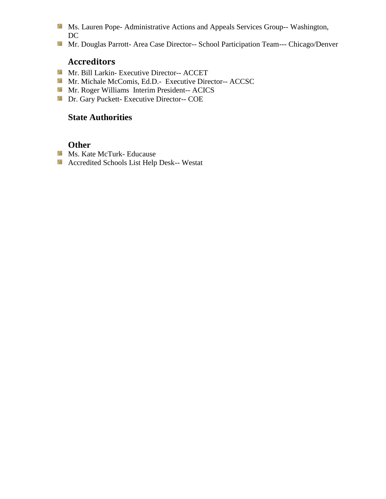- Ms. Lauren Pope- Administrative Actions and Appeals Services Group-- Washington, DC
- Mr. Douglas Parrott- Area Case Director-- School Participation Team--- Chicago/Denver

# **Accreditors**

- Mr. Bill Larkin- Executive Director-- ACCET
- Mr. Michale McComis, Ed.D.- Executive Director-- ACCSC
- Mr. Roger Williams Interim President-- ACICS
- **Dr. Gary Puckett- Executive Director-- COE**

## **State Authorities**

## **Other**

- **Ms. Kate McTurk- Educause**
- Accredited Schools List Help Desk-- Westat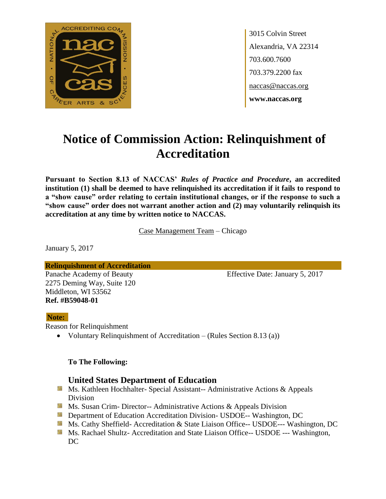

3015 Colvin Street Alexandria, VA 22314 703.600.7600 703.379.2200 fax naccas@naccas.org **www.naccas.org**

# **Notice of Commission Action: Relinquishment of Accreditation**

**Pursuant to Section 8.13 of NACCAS'** *Rules of Practice and Procedure***, an accredited institution (1) shall be deemed to have relinquished its accreditation if it fails to respond to a "show cause" order relating to certain institutional changes, or if the response to such a "show cause" order does not warrant another action and (2) may voluntarily relinquish its accreditation at any time by written notice to NACCAS.**

Case Management Team – Chicago

January 5, 2017

**Relinquishment of Accreditation**

2275 Deming Way, Suite 120 Middleton, WI 53562 **Ref. #B59048-01**

Panache Academy of Beauty Effective Date: January 5, 2017

#### **Note:**

Reason for Relinquishment

Voluntary Relinquishment of Accreditation – (Rules Section 8.13 (a))

#### **To The Following:**

## **United States Department of Education**

- **Ms. Kathleen Hochhalter- Special Assistant-- Administrative Actions & Appeals** Division
- **Ms. Susan Crim- Director-- Administrative Actions & Appeals Division**
- **Department of Education Accreditation Division- USDOE-- Washington, DC**
- Ms. Cathy Sheffield- Accreditation & State Liaison Office-- USDOE--- Washington, DC
- **MS. Rachael Shultz- Accreditation and State Liaison Office-- USDOE --- Washington,** DC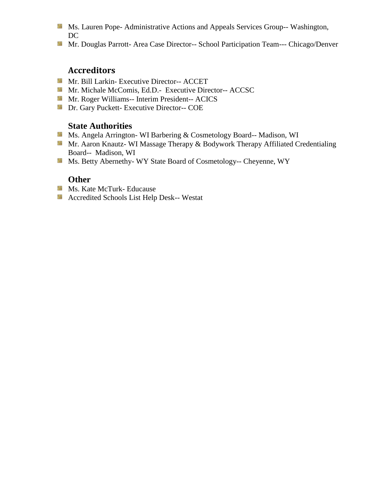- Ms. Lauren Pope- Administrative Actions and Appeals Services Group-- Washington, DC
- Mr. Douglas Parrott- Area Case Director-- School Participation Team--- Chicago/Denver

# **Accreditors**

- Mr. Bill Larkin- Executive Director-- ACCET
- Mr. Michale McComis, Ed.D.- Executive Director-- ACCSC
- **Mr. Roger Williams-- Interim President-- ACICS**
- **Dr.** Gary Puckett- Executive Director-- COE

### **State Authorities**

- Ms. Angela Arrington- WI Barbering & Cosmetology Board-- Madison, WI
- Mr. Aaron Knautz- WI Massage Therapy & Bodywork Therapy Affiliated Credentialing Board-- Madison, WI
- Ms. Betty Abernethy- WY State Board of Cosmetology-- Cheyenne, WY

### **Other**

- **Ms. Kate McTurk- Educause**
- Accredited Schools List Help Desk-- Westat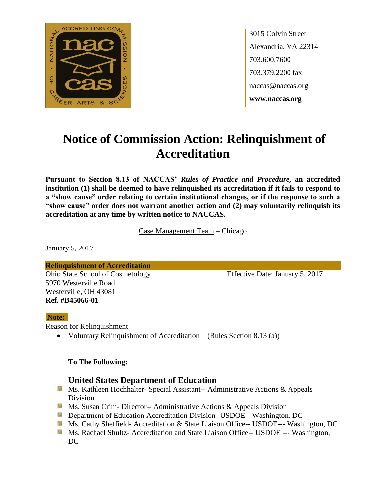

3015 Colvin Street Alexandria, VA 22314 703.600.7600 703.379.2200 fax naccas@naccas.org **www.naccas.org**

# **Notice of Commission Action: Relinquishment of Accreditation**

**Pursuant to Section 8.13 of NACCAS'** *Rules of Practice and Procedure***, an accredited institution (1) shall be deemed to have relinquished its accreditation if it fails to respond to a "show cause" order relating to certain institutional changes, or if the response to such a "show cause" order does not warrant another action and (2) may voluntarily relinquish its accreditation at any time by written notice to NACCAS.**

Case Management Team – Chicago

January 5, 2017

**Relinquishment of Accreditation** Ohio State School of Cosmetology Effective Date: January 5, 2017 5970 Westerville Road Westerville, OH 43081 **Ref. #B45066-01**

#### **Note:**

Reason for Relinquishment

Voluntary Relinquishment of Accreditation – (Rules Section 8.13 (a))

#### **To The Following:**

### **United States Department of Education**

- **Ms. Kathleen Hochhalter- Special Assistant-- Administrative Actions & Appeals** Division
- **Ms. Susan Crim- Director-- Administrative Actions & Appeals Division**
- **Department of Education Accreditation Division- USDOE-- Washington, DC**
- Ms. Cathy Sheffield- Accreditation & State Liaison Office-- USDOE--- Washington, DC
- **MS. Rachael Shultz- Accreditation and State Liaison Office-- USDOE --- Washington,** DC